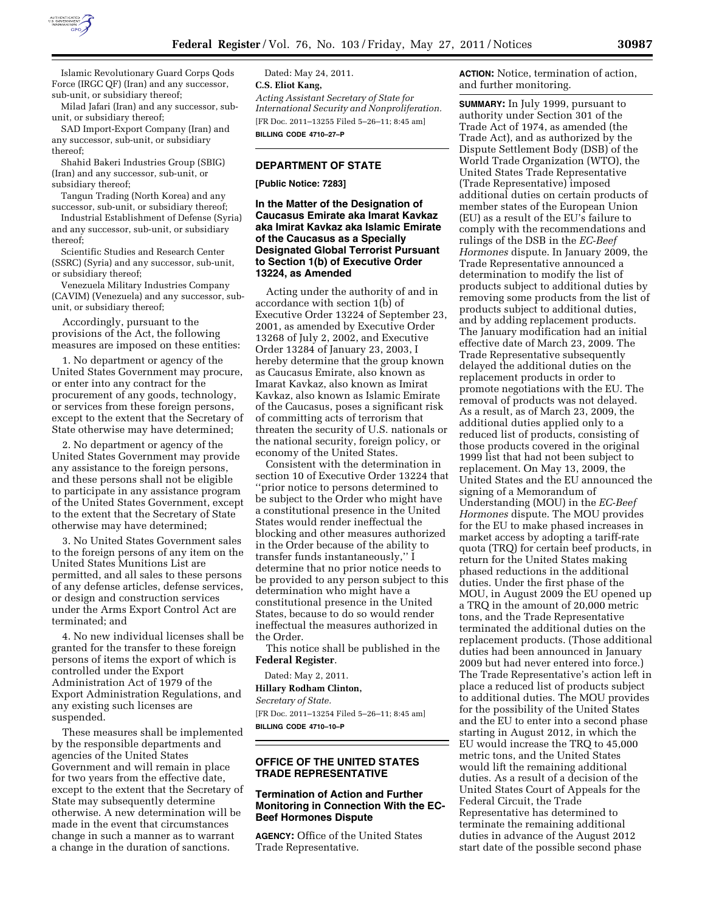

Islamic Revolutionary Guard Corps Qods Force (IRGC QF) (Iran) and any successor, sub-unit, or subsidiary thereof;

Milad Jafari (Iran) and any successor, subunit, or subsidiary thereof;

SAD Import-Export Company (Iran) and any successor, sub-unit, or subsidiary thereof;

Shahid Bakeri Industries Group (SBIG) (Iran) and any successor, sub-unit, or subsidiary thereof;

Tangun Trading (North Korea) and any successor, sub-unit, or subsidiary thereof;

Industrial Establishment of Defense (Syria) and any successor, sub-unit, or subsidiary thereof;

Scientific Studies and Research Center (SSRC) (Syria) and any successor, sub-unit, or subsidiary thereof;

Venezuela Military Industries Company (CAVIM) (Venezuela) and any successor, subunit, or subsidiary thereof;

Accordingly, pursuant to the provisions of the Act, the following measures are imposed on these entities:

1. No department or agency of the United States Government may procure, or enter into any contract for the procurement of any goods, technology, or services from these foreign persons, except to the extent that the Secretary of State otherwise may have determined;

2. No department or agency of the United States Government may provide any assistance to the foreign persons, and these persons shall not be eligible to participate in any assistance program of the United States Government, except to the extent that the Secretary of State otherwise may have determined;

3. No United States Government sales to the foreign persons of any item on the United States Munitions List are permitted, and all sales to these persons of any defense articles, defense services, or design and construction services under the Arms Export Control Act are terminated; and

4. No new individual licenses shall be granted for the transfer to these foreign persons of items the export of which is controlled under the Export Administration Act of 1979 of the Export Administration Regulations, and any existing such licenses are suspended.

These measures shall be implemented by the responsible departments and agencies of the United States Government and will remain in place for two years from the effective date, except to the extent that the Secretary of State may subsequently determine otherwise. A new determination will be made in the event that circumstances change in such a manner as to warrant a change in the duration of sanctions.

Dated: May 24, 2011. **C.S. Eliot Kang,**  *Acting Assistant Secretary of State for International Security and Nonproliferation.*  [FR Doc. 2011–13255 Filed 5–26–11; 8:45 am] **BILLING CODE 4710–27–P** 

# **DEPARTMENT OF STATE**

#### **[Public Notice: 7283]**

**In the Matter of the Designation of Caucasus Emirate aka Imarat Kavkaz aka Imirat Kavkaz aka Islamic Emirate of the Caucasus as a Specially Designated Global Terrorist Pursuant to Section 1(b) of Executive Order 13224, as Amended** 

Acting under the authority of and in accordance with section 1(b) of Executive Order 13224 of September 23, 2001, as amended by Executive Order 13268 of July 2, 2002, and Executive Order 13284 of January 23, 2003, I hereby determine that the group known as Caucasus Emirate, also known as Imarat Kavkaz, also known as Imirat Kavkaz, also known as Islamic Emirate of the Caucasus, poses a significant risk of committing acts of terrorism that threaten the security of U.S. nationals or the national security, foreign policy, or economy of the United States.

Consistent with the determination in section 10 of Executive Order 13224 that 'prior notice to persons determined to be subject to the Order who might have a constitutional presence in the United States would render ineffectual the blocking and other measures authorized in the Order because of the ability to transfer funds instantaneously,'' I determine that no prior notice needs to be provided to any person subject to this determination who might have a constitutional presence in the United States, because to do so would render ineffectual the measures authorized in the Order.

This notice shall be published in the **Federal Register**.

Dated: May 2, 2011.

**Hillary Rodham Clinton,**  *Secretary of State.*  [FR Doc. 2011–13254 Filed 5–26–11; 8:45 am] **BILLING CODE 4710–10–P** 

## **OFFICE OF THE UNITED STATES TRADE REPRESENTATIVE**

# **Termination of Action and Further Monitoring in Connection With the EC-Beef Hormones Dispute**

**AGENCY:** Office of the United States Trade Representative.

**ACTION:** Notice, termination of action, and further monitoring.

**SUMMARY:** In July 1999, pursuant to authority under Section 301 of the Trade Act of 1974, as amended (the Trade Act), and as authorized by the Dispute Settlement Body (DSB) of the World Trade Organization (WTO), the United States Trade Representative (Trade Representative) imposed additional duties on certain products of member states of the European Union (EU) as a result of the EU's failure to comply with the recommendations and rulings of the DSB in the *EC-Beef Hormones* dispute. In January 2009, the Trade Representative announced a determination to modify the list of products subject to additional duties by removing some products from the list of products subject to additional duties, and by adding replacement products. The January modification had an initial effective date of March 23, 2009. The Trade Representative subsequently delayed the additional duties on the replacement products in order to promote negotiations with the EU. The removal of products was not delayed. As a result, as of March 23, 2009, the additional duties applied only to a reduced list of products, consisting of those products covered in the original 1999 list that had not been subject to replacement. On May 13, 2009, the United States and the EU announced the signing of a Memorandum of Understanding (MOU) in the *EC-Beef Hormones* dispute. The MOU provides for the EU to make phased increases in market access by adopting a tariff-rate quota (TRQ) for certain beef products, in return for the United States making phased reductions in the additional duties. Under the first phase of the MOU, in August 2009 the EU opened up a TRQ in the amount of 20,000 metric tons, and the Trade Representative terminated the additional duties on the replacement products. (Those additional duties had been announced in January 2009 but had never entered into force.) The Trade Representative's action left in place a reduced list of products subject to additional duties. The MOU provides for the possibility of the United States and the EU to enter into a second phase starting in August 2012, in which the EU would increase the TRQ to 45,000 metric tons, and the United States would lift the remaining additional duties. As a result of a decision of the United States Court of Appeals for the Federal Circuit, the Trade Representative has determined to terminate the remaining additional duties in advance of the August 2012 start date of the possible second phase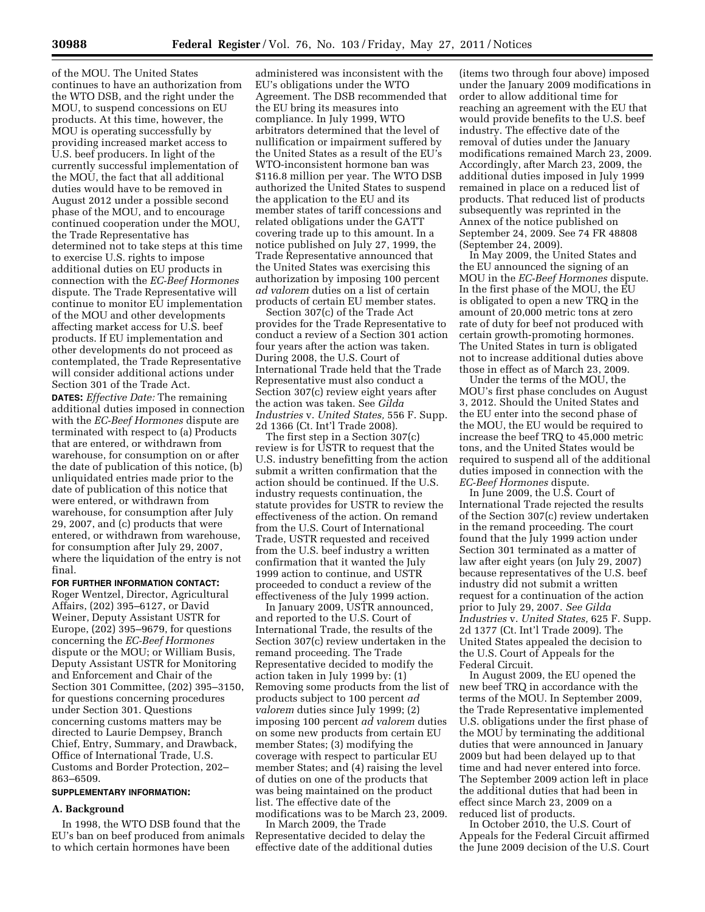of the MOU. The United States continues to have an authorization from the WTO DSB, and the right under the MOU, to suspend concessions on EU products. At this time, however, the MOU is operating successfully by providing increased market access to U.S. beef producers. In light of the currently successful implementation of the MOU, the fact that all additional duties would have to be removed in August 2012 under a possible second phase of the MOU, and to encourage continued cooperation under the MOU, the Trade Representative has determined not to take steps at this time to exercise U.S. rights to impose additional duties on EU products in connection with the *EC-Beef Hormones*  dispute. The Trade Representative will continue to monitor EU implementation of the MOU and other developments affecting market access for U.S. beef products. If EU implementation and other developments do not proceed as contemplated, the Trade Representative will consider additional actions under Section 301 of the Trade Act.

**DATES:** *Effective Date:* The remaining additional duties imposed in connection with the *EC-Beef Hormones* dispute are terminated with respect to (a) Products that are entered, or withdrawn from warehouse, for consumption on or after the date of publication of this notice, (b) unliquidated entries made prior to the date of publication of this notice that were entered, or withdrawn from warehouse, for consumption after July 29, 2007, and (c) products that were entered, or withdrawn from warehouse, for consumption after July 29, 2007, where the liquidation of the entry is not final.

## **FOR FURTHER INFORMATION CONTACT:**

Roger Wentzel, Director, Agricultural Affairs, (202) 395–6127, or David Weiner, Deputy Assistant USTR for Europe, (202) 395–9679, for questions concerning the *EC-Beef Hormones*  dispute or the MOU; or William Busis, Deputy Assistant USTR for Monitoring and Enforcement and Chair of the Section 301 Committee, (202) 395–3150, for questions concerning procedures under Section 301. Questions concerning customs matters may be directed to Laurie Dempsey, Branch Chief, Entry, Summary, and Drawback, Office of International Trade, U.S. Customs and Border Protection, 202– 863–6509.

## **SUPPLEMENTARY INFORMATION:**

## **A. Background**

In 1998, the WTO DSB found that the EU's ban on beef produced from animals to which certain hormones have been

administered was inconsistent with the EU's obligations under the WTO Agreement. The DSB recommended that the EU bring its measures into compliance. In July 1999, WTO arbitrators determined that the level of nullification or impairment suffered by the United States as a result of the EU's WTO-inconsistent hormone ban was \$116.8 million per year. The WTO DSB authorized the United States to suspend the application to the EU and its member states of tariff concessions and related obligations under the GATT covering trade up to this amount. In a notice published on July 27, 1999, the Trade Representative announced that the United States was exercising this authorization by imposing 100 percent *ad valorem* duties on a list of certain products of certain EU member states.

Section 307(c) of the Trade Act provides for the Trade Representative to conduct a review of a Section 301 action four years after the action was taken. During 2008, the U.S. Court of International Trade held that the Trade Representative must also conduct a Section 307(c) review eight years after the action was taken. See *Gilda Industries* v. *United States,* 556 F. Supp. 2d 1366 (Ct. Int'l Trade 2008).

The first step in a Section 307(c) review is for USTR to request that the U.S. industry benefitting from the action submit a written confirmation that the action should be continued. If the U.S. industry requests continuation, the statute provides for USTR to review the effectiveness of the action. On remand from the U.S. Court of International Trade, USTR requested and received from the U.S. beef industry a written confirmation that it wanted the July 1999 action to continue, and USTR proceeded to conduct a review of the effectiveness of the July 1999 action.

In January 2009, USTR announced, and reported to the U.S. Court of International Trade, the results of the Section 307(c) review undertaken in the remand proceeding. The Trade Representative decided to modify the action taken in July 1999 by: (1) Removing some products from the list of products subject to 100 percent *ad valorem* duties since July 1999; (2) imposing 100 percent *ad valorem* duties on some new products from certain EU member States; (3) modifying the coverage with respect to particular EU member States; and (4) raising the level of duties on one of the products that was being maintained on the product list. The effective date of the modifications was to be March 23, 2009.

In March 2009, the Trade Representative decided to delay the effective date of the additional duties

(items two through four above) imposed under the January 2009 modifications in order to allow additional time for reaching an agreement with the EU that would provide benefits to the U.S. beef industry. The effective date of the removal of duties under the January modifications remained March 23, 2009. Accordingly, after March 23, 2009, the additional duties imposed in July 1999 remained in place on a reduced list of products. That reduced list of products subsequently was reprinted in the Annex of the notice published on September 24, 2009. See 74 FR 48808 (September 24, 2009).

In May 2009, the United States and the EU announced the signing of an MOU in the *EC-Beef Hormones* dispute. In the first phase of the MOU, the EU is obligated to open a new TRQ in the amount of 20,000 metric tons at zero rate of duty for beef not produced with certain growth-promoting hormones. The United States in turn is obligated not to increase additional duties above those in effect as of March 23, 2009.

Under the terms of the MOU, the MOU's first phase concludes on August 3, 2012. Should the United States and the EU enter into the second phase of the MOU, the EU would be required to increase the beef TRQ to 45,000 metric tons, and the United States would be required to suspend all of the additional duties imposed in connection with the *EC-Beef Hormones* dispute.

In June 2009, the U.S. Court of International Trade rejected the results of the Section 307(c) review undertaken in the remand proceeding. The court found that the July 1999 action under Section 301 terminated as a matter of law after eight years (on July 29, 2007) because representatives of the U.S. beef industry did not submit a written request for a continuation of the action prior to July 29, 2007. *See Gilda Industries* v. *United States,* 625 F. Supp. 2d 1377 (Ct. Int'l Trade 2009). The United States appealed the decision to the U.S. Court of Appeals for the Federal Circuit.

In August 2009, the EU opened the new beef TRQ in accordance with the terms of the MOU. In September 2009, the Trade Representative implemented U.S. obligations under the first phase of the MOU by terminating the additional duties that were announced in January 2009 but had been delayed up to that time and had never entered into force. The September 2009 action left in place the additional duties that had been in effect since March 23, 2009 on a reduced list of products.

In October 2010, the U.S. Court of Appeals for the Federal Circuit affirmed the June 2009 decision of the U.S. Court